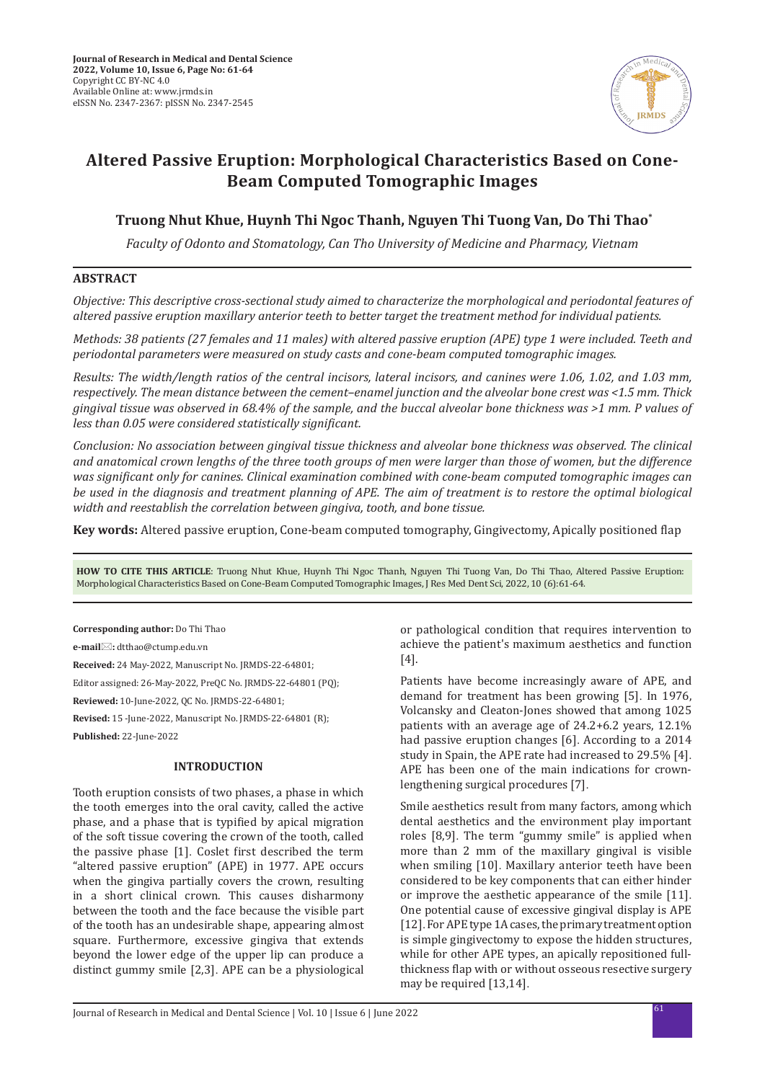

# **Altered Passive Eruption: Morphological Characteristics Based on Cone-Beam Computed Tomographic Images**

# **Truong Nhut Khue, Huynh Thi Ngoc Thanh, Nguyen Thi Tuong Van, Do Thi Thao\***

*Faculty of Odonto and Stomatology, Can Tho University of Medicine and Pharmacy, Vietnam*

# **ABSTRACT**

*Objective: This descriptive cross-sectional study aimed to characterize the morphological and periodontal features of altered passive eruption maxillary anterior teeth to better target the treatment method for individual patients.* 

*Methods: 38 patients (27 females and 11 males) with altered passive eruption (APE) type 1 were included. Teeth and periodontal parameters were measured on study casts and cone-beam computed tomographic images.* 

*Results: The width/length ratios of the central incisors, lateral incisors, and canines were 1.06, 1.02, and 1.03 mm, respectively. The mean distance between the cement–enamel junction and the alveolar bone crest was <1.5 mm. Thick gingival tissue was observed in 68.4% of the sample, and the buccal alveolar bone thickness was >1 mm. P values of less than 0.05 were considered statistically significant.*

*Conclusion: No association between gingival tissue thickness and alveolar bone thickness was observed. The clinical and anatomical crown lengths of the three tooth groups of men were larger than those of women, but the difference was significant only for canines. Clinical examination combined with cone-beam computed tomographic images can be used in the diagnosis and treatment planning of APE. The aim of treatment is to restore the optimal biological width and reestablish the correlation between gingiva, tooth, and bone tissue.*

**Key words:** Altered passive eruption, Cone-beam computed tomography, Gingivectomy, Apically positioned flap

**HOW TO CITE THIS ARTICLE**: Truong Nhut Khue, Huynh Thi Ngoc Thanh, Nguyen Thi Tuong Van, Do Thi Thao, Altered Passive Eruption: Morphological Characteristics Based on Cone-Beam Computed Tomographic Images, J Res Med Dent Sci, 2022, 10 (6):61-64.

**Corresponding author:** Do Thi Thao

**e-mail:** dtthao@ctump.edu.vn

**Received:** 24 May-2022, Manuscript No. JRMDS-22-64801;

Editor assigned: 26-May-2022, PreQC No. JRMDS-22-64801 (PQ);

**Reviewed:** 10-June-2022, QC No. JRMDS-22-64801;

**Revised:** 15 -June-2022, Manuscript No. JRMDS-22-64801 (R);

**Published:** 22-June-2022

# **INTRODUCTION**

Tooth eruption consists of two phases, a phase in which the tooth emerges into the oral cavity, called the active phase, and a phase that is typified by apical migration of the soft tissue covering the crown of the tooth, called the passive phase [1]. Coslet first described the term "altered passive eruption" (APE) in 1977. APE occurs when the gingiva partially covers the crown, resulting in a short clinical crown. This causes disharmony between the tooth and the face because the visible part of the tooth has an undesirable shape, appearing almost square. Furthermore, excessive gingiva that extends beyond the lower edge of the upper lip can produce a distinct gummy smile [2,3]. APE can be a physiological or pathological condition that requires intervention to achieve the patient's maximum aesthetics and function [4].

Patients have become increasingly aware of APE, and demand for treatment has been growing [5]. In 1976, Volcansky and Cleaton-Jones showed that among 1025 patients with an average age of 24.2+6.2 years, 12.1% had passive eruption changes [6]. According to a 2014 study in Spain, the APE rate had increased to 29.5% [4]. APE has been one of the main indications for crownlengthening surgical procedures [7].

Smile aesthetics result from many factors, among which dental aesthetics and the environment play important roles [8,9]. The term "gummy smile" is applied when more than 2 mm of the maxillary gingival is visible when smiling [10]. Maxillary anterior teeth have been considered to be key components that can either hinder or improve the aesthetic appearance of the smile [11]. One potential cause of excessive gingival display is APE [12]. For APE type 1A cases, the primary treatment option is simple gingivectomy to expose the hidden structures, while for other APE types, an apically repositioned fullthickness flap with or without osseous resective surgery may be required [13,14].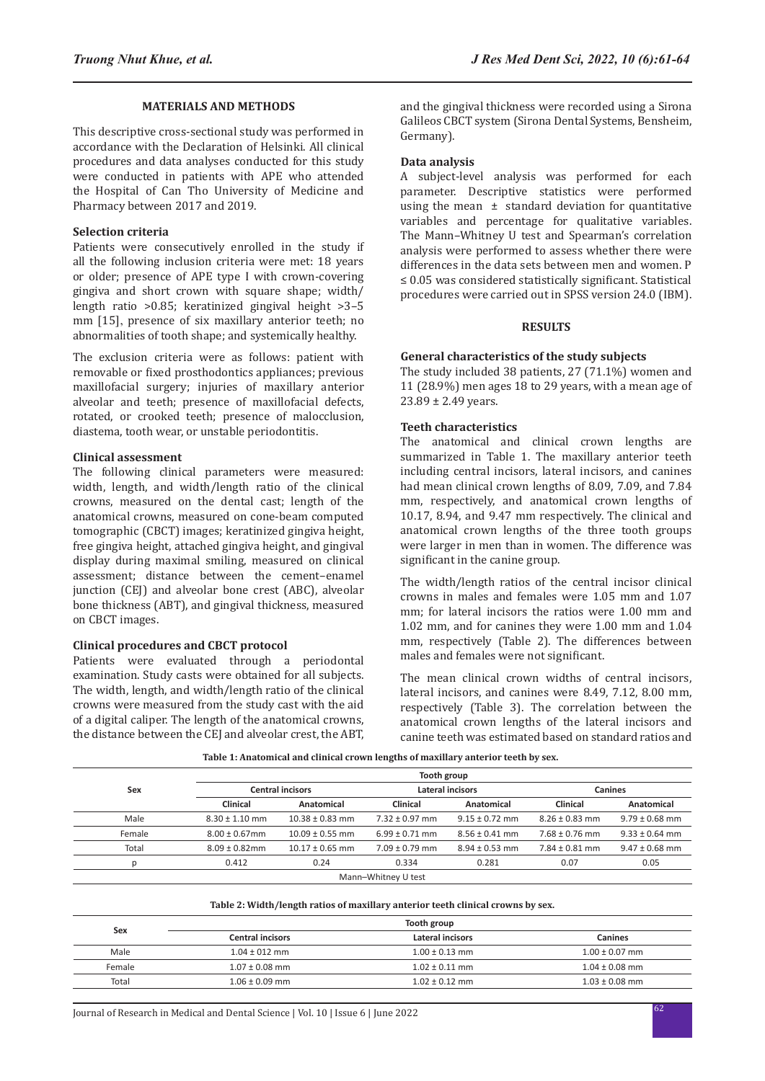# **MATERIALS AND METHODS**

This descriptive cross-sectional study was performed in accordance with the Declaration of Helsinki. All clinical procedures and data analyses conducted for this study were conducted in patients with APE who attended the Hospital of Can Tho University of Medicine and Pharmacy between 2017 and 2019.

# **Selection criteria**

Patients were consecutively enrolled in the study if all the following inclusion criteria were met: 18 years or older; presence of APE type I with crown-covering gingiva and short crown with square shape; width/ length ratio >0.85; keratinized gingival height >3–5 mm [15], presence of six maxillary anterior teeth; no abnormalities of tooth shape; and systemically healthy.

The exclusion criteria were as follows: patient with removable or fixed prosthodontics appliances; previous maxillofacial surgery; injuries of maxillary anterior alveolar and teeth; presence of maxillofacial defects, rotated, or crooked teeth; presence of malocclusion, diastema, tooth wear, or unstable periodontitis.

#### **Clinical assessment**

The following clinical parameters were measured: width, length, and width/length ratio of the clinical crowns, measured on the dental cast; length of the anatomical crowns, measured on cone-beam computed tomographic (CBCT) images; keratinized gingiva height, free gingiva height, attached gingiva height, and gingival display during maximal smiling, measured on clinical assessment; distance between the cement–enamel junction (CEJ) and alveolar bone crest (ABC), alveolar bone thickness (ABT), and gingival thickness, measured on CBCT images.

#### **Clinical procedures and CBCT protocol**

Patients were evaluated through a periodontal examination. Study casts were obtained for all subjects. The width, length, and width/length ratio of the clinical crowns were measured from the study cast with the aid of a digital caliper. The length of the anatomical crowns, the distance between the CEJ and alveolar crest, the ABT, and the gingival thickness were recorded using a Sirona Galileos CBCT system (Sirona Dental Systems, Bensheim, Germany).

# **Data analysis**

A subject-level analysis was performed for each parameter. Descriptive statistics were performed using the mean ± standard deviation for quantitative variables and percentage for qualitative variables. The Mann–Whitney U test and Spearman's correlation analysis were performed to assess whether there were differences in the data sets between men and women. P ≤ 0.05 was considered statistically significant. Statistical procedures were carried out in SPSS version 24.0 (IBM).

#### **RESULTS**

### **General characteristics of the study subjects**

The study included 38 patients, 27 (71.1%) women and 11 (28.9%) men ages 18 to 29 years, with a mean age of 23.89 ± 2.49 years.

# **Teeth characteristics**

The anatomical and clinical crown lengths are summarized in Table 1. The maxillary anterior teeth including central incisors, lateral incisors, and canines had mean clinical crown lengths of 8.09, 7.09, and 7.84 mm, respectively, and anatomical crown lengths of 10.17, 8.94, and 9.47 mm respectively. The clinical and anatomical crown lengths of the three tooth groups were larger in men than in women. The difference was significant in the canine group.

The width/length ratios of the central incisor clinical crowns in males and females were 1.05 mm and 1.07 mm; for lateral incisors the ratios were 1.00 mm and 1.02 mm, and for canines they were 1.00 mm and 1.04 mm, respectively (Table 2). The differences between males and females were not significant.

The mean clinical crown widths of central incisors, lateral incisors, and canines were 8.49, 7.12, 8.00 mm, respectively (Table 3). The correlation between the anatomical crown lengths of the lateral incisors and canine teeth was estimated based on standard ratios and

|        | Tooth group             |                     |                     |                    |                    |                    |  |
|--------|-------------------------|---------------------|---------------------|--------------------|--------------------|--------------------|--|
| Sex    | <b>Central incisors</b> |                     | Lateral incisors    |                    | <b>Canines</b>     |                    |  |
|        | <b>Clinical</b>         | Anatomical          | Clinical            | Anatomical         | <b>Clinical</b>    | Anatomical         |  |
| Male   | $8.30 \pm 1.10$ mm      | $10.38 \pm 0.83$ mm | $7.32 \pm 0.97$ mm  | $9.15 \pm 0.72$ mm | $8.26 \pm 0.83$ mm | $9.79 \pm 0.68$ mm |  |
| Female | $8.00 \pm 0.67$ mm      | $10.09 \pm 0.55$ mm | $6.99 \pm 0.71$ mm  | $8.56 \pm 0.41$ mm | $7.68 \pm 0.76$ mm | $9.33 \pm 0.64$ mm |  |
| Total  | $8.09 \pm 0.82$ mm      | $10.17 \pm 0.65$ mm | $7.09 \pm 0.79$ mm  | $8.94 \pm 0.53$ mm | $7.84 \pm 0.81$ mm | $9.47 \pm 0.68$ mm |  |
|        | 0.412                   | 0.24                | 0.334               | 0.281              | 0.07               | 0.05               |  |
|        |                         |                     | Mann-Whitney U test |                    |                    |                    |  |

**Table 1: Anatomical and clinical crown lengths of maxillary anterior teeth by sex.**

#### **Table 2: Width/length ratios of maxillary anterior teeth clinical crowns by sex.**

| Tooth group             |                    |                    |  |  |
|-------------------------|--------------------|--------------------|--|--|
| <b>Central incisors</b> | Lateral incisors   | <b>Canines</b>     |  |  |
| $1.04 \pm 012$ mm       | $1.00 \pm 0.13$ mm | $1.00 \pm 0.07$ mm |  |  |
| $1.07 \pm 0.08$ mm      | $1.02 \pm 0.11$ mm | $1.04 \pm 0.08$ mm |  |  |
| $1.06 \pm 0.09$ mm      | $1.02 \pm 0.12$ mm | $1.03 \pm 0.08$ mm |  |  |
|                         |                    |                    |  |  |

<sup>62</sup> Journal of Research in Medical and Dental Science | Vol. 10 | Issue 6 | June 2022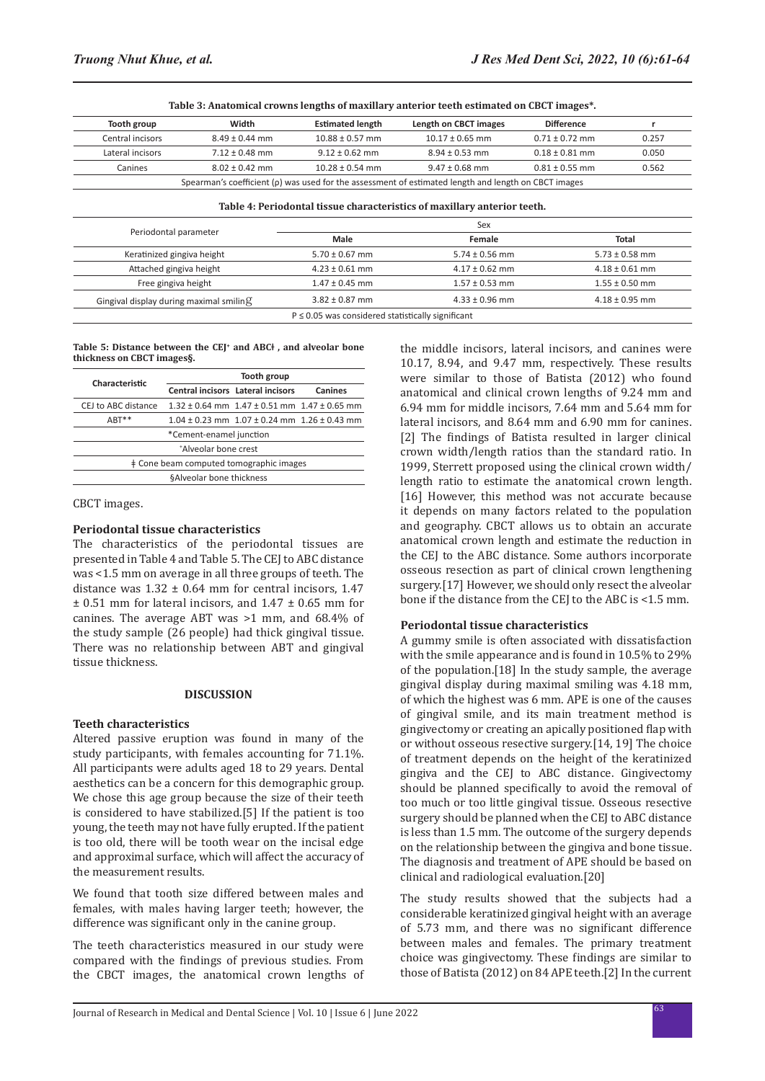| Table 3: Anatomical crowns lengths of maxillary anterior teeth estimated on CBCT images*. |  |  |  |  |
|-------------------------------------------------------------------------------------------|--|--|--|--|
|-------------------------------------------------------------------------------------------|--|--|--|--|

| Tooth group                                                                                                 | Width              | <b>Estimated length</b> | Length on CBCT images | <b>Difference</b>  |       |
|-------------------------------------------------------------------------------------------------------------|--------------------|-------------------------|-----------------------|--------------------|-------|
| Central incisors                                                                                            | $8.49 \pm 0.44$ mm | $10.88 \pm 0.57$ mm     | $10.17 \pm 0.65$ mm   | $0.71 \pm 0.72$ mm | 0.257 |
| Lateral incisors                                                                                            | $7.12 \pm 0.48$ mm | $9.12 \pm 0.62$ mm      | $8.94 \pm 0.53$ mm    | $0.18 \pm 0.81$ mm | 0.050 |
| Canines                                                                                                     | $8.02 \pm 0.42$ mm | $10.28 \pm 0.54$ mm     | $9.47 \pm 0.68$ mm    | $0.81 \pm 0.55$ mm | 0.562 |
| Spearman's coefficient ( $\rho$ ) was used for the assessment of estimated length and length on CBCT images |                    |                         |                       |                    |       |

**Table 4: Periodontal tissue characteristics of maxillary anterior teeth.**

| Sex                |                    |                    |  |
|--------------------|--------------------|--------------------|--|
| Male               | Female             | Total              |  |
| $5.70 \pm 0.67$ mm | $5.74 \pm 0.56$ mm | $5.73 \pm 0.58$ mm |  |
| $4.23 \pm 0.61$ mm | $4.17 \pm 0.62$ mm | $4.18 \pm 0.61$ mm |  |
| $1.47 \pm 0.45$ mm | $1.57 \pm 0.53$ mm | $1.55 \pm 0.50$ mm |  |
| $3.82 \pm 0.87$ mm | $4.33 \pm 0.96$ mm | $4.18 \pm 0.95$ mm |  |
|                    |                    |                    |  |

**Table 5: Distance between the CEJ+ and ABCǂ , and alveolar bone thickness on CBCT images§.**

| Characteristic                          | Tooth group                              |                                                          |         |  |  |
|-----------------------------------------|------------------------------------------|----------------------------------------------------------|---------|--|--|
|                                         | <b>Central incisors Lateral incisors</b> |                                                          | Canines |  |  |
| CEJ to ABC distance                     |                                          | $1.32 \pm 0.64$ mm $1.47 \pm 0.51$ mm $1.47 \pm 0.65$ mm |         |  |  |
| $ART**$                                 |                                          | $1.04 \pm 0.23$ mm $1.07 \pm 0.24$ mm $1.26 \pm 0.43$ mm |         |  |  |
| *Cement-enamel junction                 |                                          |                                                          |         |  |  |
| *Alveolar bone crest                    |                                          |                                                          |         |  |  |
| ‡ Cone beam computed tomographic images |                                          |                                                          |         |  |  |
| §Alveolar bone thickness                |                                          |                                                          |         |  |  |

CBCT images.

#### **Periodontal tissue characteristics**

The characteristics of the periodontal tissues are presented in Table 4 and Table 5. The CEJ to ABC distance was <1.5 mm on average in all three groups of teeth. The distance was  $1.32 \pm 0.64$  mm for central incisors, 1.47  $\pm$  0.51 mm for lateral incisors, and 1.47  $\pm$  0.65 mm for canines. The average ABT was >1 mm, and 68.4% of the study sample (26 people) had thick gingival tissue. There was no relationship between ABT and gingival tissue thickness.

#### **DISCUSSION**

#### **Teeth characteristics**

Altered passive eruption was found in many of the study participants, with females accounting for 71.1%. All participants were adults aged 18 to 29 years. Dental aesthetics can be a concern for this demographic group. We chose this age group because the size of their teeth is considered to have stabilized.[5] If the patient is too young, the teeth may not have fully erupted. If the patient is too old, there will be tooth wear on the incisal edge and approximal surface, which will affect the accuracy of the measurement results.

We found that tooth size differed between males and females, with males having larger teeth; however, the difference was significant only in the canine group.

The teeth characteristics measured in our study were compared with the findings of previous studies. From the CBCT images, the anatomical crown lengths of the middle incisors, lateral incisors, and canines were 10.17, 8.94, and 9.47 mm, respectively. These results were similar to those of Batista (2012) who found anatomical and clinical crown lengths of 9.24 mm and 6.94 mm for middle incisors, 7.64 mm and 5.64 mm for lateral incisors, and 8.64 mm and 6.90 mm for canines. [2] The findings of Batista resulted in larger clinical crown width/length ratios than the standard ratio. In 1999, Sterrett proposed using the clinical crown width/ length ratio to estimate the anatomical crown length. [16] However, this method was not accurate because it depends on many factors related to the population and geography. CBCT allows us to obtain an accurate anatomical crown length and estimate the reduction in the CEJ to the ABC distance. Some authors incorporate osseous resection as part of clinical crown lengthening surgery.[17] However, we should only resect the alveolar bone if the distance from the CEJ to the ABC is <1.5 mm.

#### **Periodontal tissue characteristics**

A gummy smile is often associated with dissatisfaction with the smile appearance and is found in 10.5% to 29% of the population.[18] In the study sample, the average gingival display during maximal smiling was 4.18 mm, of which the highest was 6 mm. APE is one of the causes of gingival smile, and its main treatment method is gingivectomy or creating an apically positioned flap with or without osseous resective surgery.[14, 19] The choice of treatment depends on the height of the keratinized gingiva and the CEJ to ABC distance. Gingivectomy should be planned specifically to avoid the removal of too much or too little gingival tissue. Osseous resective surgery should be planned when the CEJ to ABC distance is less than 1.5 mm. The outcome of the surgery depends on the relationship between the gingiva and bone tissue. The diagnosis and treatment of APE should be based on clinical and radiological evaluation.[20]

The study results showed that the subjects had a considerable keratinized gingival height with an average of 5.73 mm, and there was no significant difference between males and females. The primary treatment choice was gingivectomy. These findings are similar to those of Batista (2012) on 84 APE teeth.[2] In the current